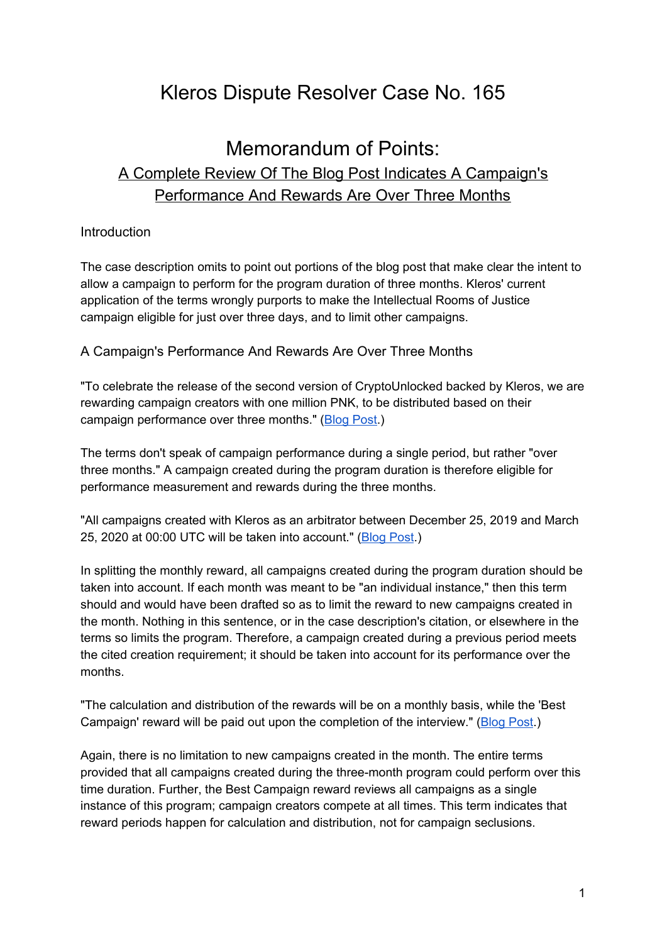# Kleros Dispute Resolver Case No. 165

## Memorandum of Points: A Complete Review Of The Blog Post Indicates A Campaign's Performance And Rewards Are Over Three Months

#### Introduction

The case description omits to point out portions of the blog post that make clear the intent to allow a campaign to perform for the program duration of three months. Kleros' current application of the terms wrongly purports to make the Intellectual Rooms of Justice campaign eligible for just over three days, and to limit other campaigns.

A Campaign's Performance And Rewards Are Over Three Months

"To celebrate the release of the second version of CryptoUnlocked backed by Kleros, we are rewarding campaign creators with one million PNK, to be distributed based on their campaign performance over three months." ([Blog](http://web.archive.org/web/20200310162859/https://blog.kleros.io/cryptounlocked-x-kleros-campaign-reward-program/) Post.)

The terms don't speak of campaign performance during a single period, but rather "over three months." A campaign created during the program duration is therefore eligible for performance measurement and rewards during the three months.

"All campaigns created with Kleros as an arbitrator between December 25, 2019 and March 25, 2020 at 00:00 UTC will be taken into account." [\(Blog](http://web.archive.org/web/20200310162859/https://blog.kleros.io/cryptounlocked-x-kleros-campaign-reward-program/) Post.)

In splitting the monthly reward, all campaigns created during the program duration should be taken into account. If each month was meant to be "an individual instance," then this term should and would have been drafted so as to limit the reward to new campaigns created in the month. Nothing in this sentence, or in the case description's citation, or elsewhere in the terms so limits the program. Therefore, a campaign created during a previous period meets the cited creation requirement; it should be taken into account for its performance over the months.

"The calculation and distribution of the rewards will be on a monthly basis, while the 'Best Campaign' reward will be paid out upon the completion of the interview." [\(Blog](http://web.archive.org/web/20200310162859/https://blog.kleros.io/cryptounlocked-x-kleros-campaign-reward-program/) Post.)

Again, there is no limitation to new campaigns created in the month. The entire terms provided that all campaigns created during the three-month program could perform over this time duration. Further, the Best Campaign reward reviews all campaigns as a single instance of this program; campaign creators compete at all times. This term indicates that reward periods happen for calculation and distribution, not for campaign seclusions.